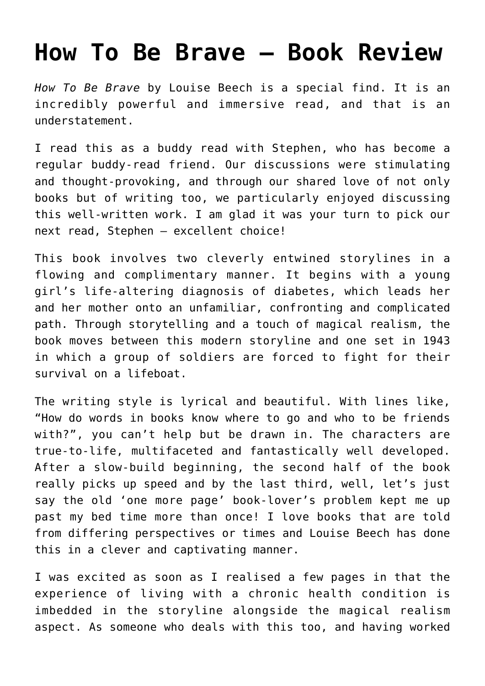## **[How To Be Brave – Book Review](https://www.glimpsinggembles.com/2018/12/01/how-to-be-brave-book-review/)**

*How To Be Brave* by Louise Beech is a special find. It is an incredibly powerful and immersive read, and that is an understatement.

I read this as a buddy read with [Stephen,](https://stephenwriterblog.wordpress.com) who has become a regular buddy-read friend. Our discussions were stimulating and thought-provoking, and through our shared love of not only books but of writing too, we particularly enjoyed discussing this well-written work. I am glad it was your turn to pick our next read, Stephen – excellent choice!

This book involves two cleverly entwined storylines in a flowing and complimentary manner. It begins with a young girl's life-altering diagnosis of diabetes, which leads her and her mother onto an unfamiliar, confronting and complicated path. Through storytelling and a touch of magical realism, the book moves between this modern storyline and one set in 1943 in which a group of soldiers are forced to fight for their survival on a lifeboat.

The writing style is lyrical and beautiful. With lines like, "How do words in books know where to go and who to be friends with?", you can't help but be drawn in. The characters are true-to-life, multifaceted and fantastically well developed. After a slow-build beginning, the second half of the book really picks up speed and by the last third, well, let's just say the old 'one more page' book-lover's problem kept me up past my bed time more than once! I love books that are told from differing perspectives or times and Louise Beech has done this in a clever and captivating manner.

I was excited as soon as I realised a few pages in that the experience of living with a chronic health condition is imbedded in the storyline alongside the magical realism aspect. As someone who deals with this too, and having worked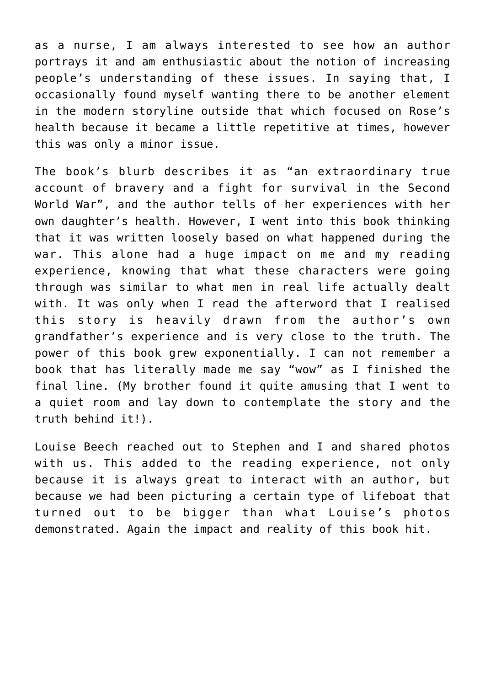as a nurse, I am always interested to see how an author portrays it and am enthusiastic about the notion of increasing people's understanding of these issues. In saying that, I occasionally found myself wanting there to be another element in the modern storyline outside that which focused on Rose's health because it became a little repetitive at times, however this was only a minor issue.

The book's blurb describes it as "an extraordinary true account of bravery and a fight for survival in the Second World War", and the author tells of her experiences with her own daughter's health. However, I went into this book thinking that it was written loosely based on what happened during the war. This alone had a huge impact on me and my reading experience, knowing that what these characters were going through was similar to what men in real life actually dealt with. It was only when I read the afterword that I realised this story is heavily drawn from the author's own grandfather's experience and is very close to the truth. The power of this book grew exponentially. I can not remember a book that has literally made me say "wow" as I finished the final line. (My brother found it quite amusing that I went to a quiet room and lay down to contemplate the story and the truth behind it!).

Louise Beech reached out to Stephen and I and shared photos with us. This added to the reading experience, not only because it is always great to interact with an author, but because we had been picturing a certain type of lifeboat that turned out to be bigger than what Louise's photos demonstrated. Again the impact and reality of this book hit.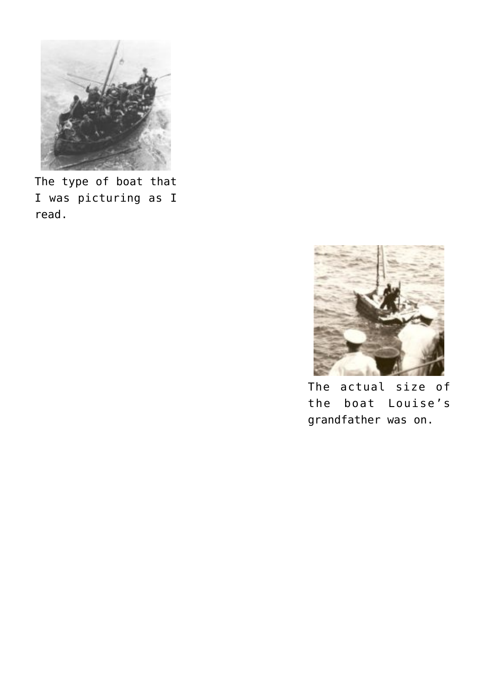

The type of boat that I was picturing as I read.



The actual size of the boat Louise's grandfather was on.